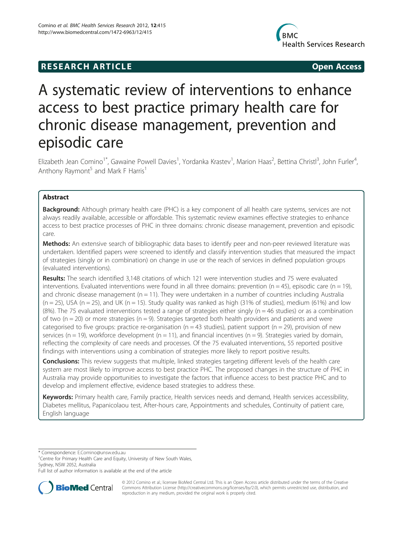## **RESEARCH ARTICLE Example 2018 12:00 Open Access**



# A systematic review of interventions to enhance access to best practice primary health care for chronic disease management, prevention and episodic care

Elizabeth Jean Comino<sup>1\*</sup>, Gawaine Powell Davies<sup>1</sup>, Yordanka Krastev<sup>1</sup>, Marion Haas<sup>2</sup>, Bettina Christl<sup>3</sup>, John Furler<sup>4</sup> , Anthony Raymont<sup>5</sup> and Mark F Harris<sup>1</sup>

## Abstract

Background: Although primary health care (PHC) is a key component of all health care systems, services are not always readily available, accessible or affordable. This systematic review examines effective strategies to enhance access to best practice processes of PHC in three domains: chronic disease management, prevention and episodic care.

Methods: An extensive search of bibliographic data bases to identify peer and non-peer reviewed literature was undertaken. Identified papers were screened to identify and classify intervention studies that measured the impact of strategies (singly or in combination) on change in use or the reach of services in defined population groups (evaluated interventions).

Results: The search identified 3,148 citations of which 121 were intervention studies and 75 were evaluated interventions. Evaluated interventions were found in all three domains: prevention ( $n = 45$ ), episodic care ( $n = 19$ ), and chronic disease management ( $n = 11$ ). They were undertaken in a number of countries including Australia  $(n = 25)$ , USA  $(n = 25)$ , and UK  $(n = 15)$ . Study quality was ranked as high (31% of studies), medium (61%) and low  $(8%)$ . The 75 evaluated interventions tested a range of strategies either singly (n = 46 studies) or as a combination of two ( $n = 20$ ) or more strategies ( $n = 9$ ). Strategies targeted both health providers and patients and were categorised to five groups: practice re-organisation ( $n = 43$  studies), patient support ( $n = 29$ ), provision of new services ( $n = 19$ ), workforce development ( $n = 11$ ), and financial incentives ( $n = 9$ ). Strategies varied by domain, reflecting the complexity of care needs and processes. Of the 75 evaluated interventions, 55 reported positive findings with interventions using a combination of strategies more likely to report positive results.

Conclusions: This review suggests that multiple, linked strategies targeting different levels of the health care system are most likely to improve access to best practice PHC. The proposed changes in the structure of PHC in Australia may provide opportunities to investigate the factors that influence access to best practice PHC and to develop and implement effective, evidence based strategies to address these.

Keywords: Primary health care, Family practice, Health services needs and demand, Health services accessibility, Diabetes mellitus, Papanicolaou test, After-hours care, Appointments and schedules, Continuity of patient care, English language

\* Correspondence: [E.Comino@unsw.edu.au](mailto:E.Comino@unsw.edu.au) <sup>1</sup>

<sup>1</sup> Centre for Primary Health Care and Equity, University of New South Wales, Sydney, NSW 2052, Australia

Full list of author information is available at the end of the article



© 2012 Comino et al.; licensee BioMed Central Ltd. This is an Open Access article distributed under the terms of the Creative Commons Attribution License [\(http://creativecommons.org/licenses/by/2.0\)](http://creativecommons.org/licenses/by/2.0), which permits unrestricted use, distribution, and reproduction in any medium, provided the original work is properly cited.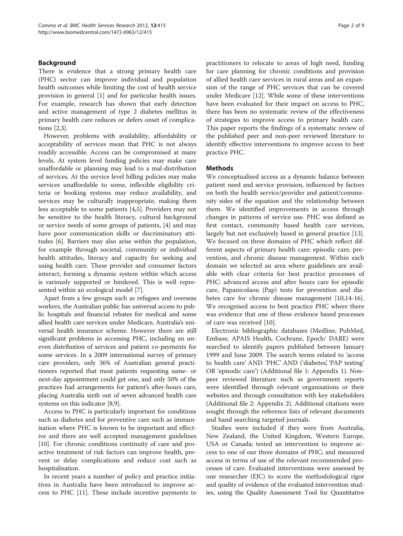## Background

There is evidence that a strong primary health care (PHC) sector can improve individual and population health outcomes while limiting the cost of health service provision in general [[1\]](#page-8-0) and for particular health issues. For example, research has shown that early detection and active management of type 2 diabetes mellitus in primary health care reduces or defers onset of complications [[2,3\]](#page-8-0).

However, problems with availability, affordability or acceptability of services mean that PHC is not always readily accessible. Access can be compromised at many levels. At system level funding policies may make care unaffordable or planning may lead to a mal-distribution of services. At the service level billing policies may make services unaffordable to some, inflexible eligibility criteria or booking systems may reduce availability, and services may be culturally inappropriate, making them less acceptable to some patients [[4,5\]](#page-8-0). Providers may not be sensitive to the health literacy, cultural background or service needs of some groups of patients, [\[4](#page-8-0)] and may have poor communication skills or discriminatory attitudes [\[6](#page-8-0)]. Barriers may also arise within the population, for example through societal, community or individual health attitudes, literacy and capacity for seeking and using health care. These provider and consumer factors interact, forming a dynamic system within which access is variously supported or hindered. This is well represented within an ecological model [\[7](#page-8-0)].

Apart from a few groups such as refugees and overseas workers, the Australian public has universal access to public hospitals and financial rebates for medical and some allied health care services under Medicare, Australia's universal health insurance scheme. However there are still significant problems in accessing PHC, including an uneven distribution of services and patient co-payments for some services. In a 2009 international survey of primary care providers, only 36% of Australian general practitioners reported that most patients requesting same- or next-day appointment could get one, and only 50% of the practices had arrangements for patient's after-hours care, placing Australia sixth out of seven advanced health care systems on this indicator [[8,9](#page-8-0)].

Access to PHC is particularly important for conditions such as diabetes and for preventive care such as immunisation where PHC is known to be important and effective and there are well accepted management guidelines [[10\]](#page-8-0). For chronic conditions continuity of care and proactive treatment of risk factors can improve health, prevent or delay complications and reduce cost such as hospitalisation.

In recent years a number of policy and practice initiatives in Australia have been introduced to improve access to PHC [[11](#page-8-0)]. These include incentive payments to

practitioners to relocate to areas of high need, funding for care planning for chronic conditions and provision of allied health care services in rural areas and an expansion of the range of PHC services that can be covered under Medicare [[12\]](#page-8-0). While some of these interventions have been evaluated for their impact on access to PHC, there has been no systematic review of the effectiveness of strategies to improve access to primary health care. This paper reports the findings of a systematic review of the published peer and non-peer reviewed literature to identify effective interventions to improve access to best practice PHC.

## **Methods**

We conceptualised access as a dynamic balance between patient need and service provision, influenced by factors on both the health service/provider and patient/community sides of the equation and the relationship between them. We identified improvements in access through changes in patterns of service use. PHC was defined as first contact, community based health care services, largely but not exclusively based in general practice [\[13](#page-8-0)]. We focused on three domains of PHC which reflect different aspects of primary health care: episodic care, prevention, and chronic disease management. Within each domain we selected an area where guidelines are available with clear criteria for best practice processes of PHC: advanced access and after hours care for episodic care, Papanicolaou (Pap) tests for prevention and diabetes care for chronic disease management [\[10,14-16](#page-8-0)]. We recognised access to best practice PHC where there was evidence that one of these evidence based processes of care was received [\[10](#page-8-0)].

Electronic bibliographic databases (Medline, PubMed, Embase, APAIS Health, Cochrane, Epoch/ DARE) were searched to identify papers published between January 1999 and June 2009. The search terms related to 'access to health care' AND 'PHC' AND ('diabetes', 'PAP testing' OR 'episodic care') (Additional file [1](#page-7-0): Appendix 1). Nonpeer reviewed literature such as government reports were identified through relevant organisations or their websites and through consultation with key stakeholders (Additional file [2](#page-7-0): Appendix 2). Additional citations were sought through the reference lists of relevant documents and hand searching targeted journals.

Studies were included if they were from Australia, New Zealand, the United Kingdom, Western Europe, USA or Canada; tested an intervention to improve access to one of our three domains of PHC; and measured access in terms of use of the relevant recommended processes of care. Evaluated interventions were assessed by one researcher (EJC) to score the methodological rigor and quality of evidence of the evaluated intervention studies, using the Quality Assessment Tool for Quantitative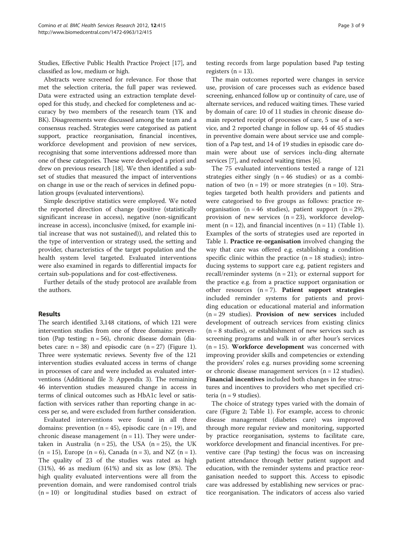Studies, Effective Public Health Practice Project [\[17](#page-8-0)], and classified as low, medium or high.

Abstracts were screened for relevance. For those that met the selection criteria, the full paper was reviewed. Data were extracted using an extraction template developed for this study, and checked for completeness and accuracy by two members of the research team (YK and BK). Disagreements were discussed among the team and a consensus reached. Strategies were categorised as patient support, practice reorganisation, financial incentives, workforce development and provision of new services, recognising that some interventions addressed more than one of these categories. These were developed a priori and drew on previous research [\[18\]](#page-8-0). We then identified a subset of studies that measured the impact of interventions on change in use or the reach of services in defined population groups (evaluated interventions).

Simple descriptive statistics were employed. We noted the reported direction of change (positive (statistically significant increase in access), negative (non-significant increase in access), inconclusive (mixed, for example initial increase that was not sustained)), and related this to the type of intervention or strategy used, the setting and provider, characteristics of the target population and the health system level targeted. Evaluated interventions were also examined in regards to differential impacts for certain sub-populations and for cost-effectiveness.

Further details of the study protocol are available from the authors.

### Results

The search identified 3,148 citations, of which 121 were intervention studies from one of three domains: prevention (Pap testing: n = 56), chronic disease domain (diabetes care:  $n = 38$ ) and episodic care  $(n = 27)$  (Figure [1](#page-3-0)). Three were systematic reviews. Seventy five of the 121 intervention studies evaluated access in terms of change in processes of care and were included as evaluated interventions (Additional file [3:](#page-7-0) Appendix 3). The remaining 46 intervention studies measured change in access in terms of clinical outcomes such as HbA1c level or satisfaction with services rather than reporting change in access per se, and were excluded from further consideration.

Evaluated interventions were found in all three domains: prevention  $(n = 45)$ , episodic care  $(n = 19)$ , and chronic disease management ( $n = 11$ ). They were undertaken in Australia (n = 25), the USA (n = 25), the UK  $(n = 15)$ , Europe  $(n = 6)$ , Canada  $(n = 3)$ , and NZ  $(n = 1)$ . The quality of 23 of the studies was rated as high (31%), 46 as medium (61%) and six as low (8%). The high quality evaluated interventions were all from the prevention domain, and were randomised control trials  $(n = 10)$  or longitudinal studies based on extract of

testing records from large population based Pap testing registers  $(n = 13)$ .

The main outcomes reported were changes in service use, provision of care processes such as evidence based screening, enhanced follow up or continuity of care, use of alternate services, and reduced waiting times. These varied by domain of care: 10 of 11 studies in chronic disease domain reported receipt of processes of care, 5 use of a service, and 2 reported change in follow up. 44 of 45 studies in preventive domain were about service use and completion of a Pap test, and 14 of 19 studies in episodic care domain were about use of services inclu-ding alternate services [[7](#page-8-0)], and reduced waiting times [\[6](#page-8-0)].

The 75 evaluated interventions tested a range of 121 strategies either singly  $(n = 46$  studies) or as a combination of two  $(n = 19)$  or more strategies  $(n = 10)$ . Strategies targeted both health providers and patients and were categorised to five groups as follows: practice reorganisation ( $n = 46$  studies), patient support ( $n = 29$ ), provision of new services  $(n = 23)$ , workforce development  $(n = 12)$  $(n = 12)$  $(n = 12)$ , and financial incentives  $(n = 11)$  (Table 1). Examples of the sorts of strategies used are reported in Table [1.](#page-4-0) Practice re-organisation involved changing the way that care was offered e.g. establishing a condition specific clinic within the practice  $(n = 18 \text{ studies})$ ; introducing systems to support care e.g. patient registers and recall/reminder systems  $(n = 21)$ ; or external support for the practice e.g. from a practice support organisation or other resources  $(n = 7)$ . Patient support strategies included reminder systems for patients and providing education or educational material and information  $(n = 29$  studies). Provision of new services included development of outreach services from existing clinics  $(n = 8$  studies), or establishment of new services such as screening programs and walk in or after hour's services  $(n = 15)$ . Workforce development was concerned with improving provider skills and competencies or extending the providers' roles e.g. nurses providing some screening or chronic disease management services (n = 12 studies). Financial incentives included both changes in fee structures and incentives to providers who met specified criteria ( $n = 9$  studies).

The choice of strategy types varied with the domain of care (Figure [2](#page-5-0); Table [1\)](#page-4-0). For example, access to chronic disease management (diabetes care) was improved through more regular review and monitoring, supported by practice reorganisation, systems to facilitate care, workforce development and financial incentives. For preventive care (Pap testing) the focus was on increasing patient attendance through better patient support and education, with the reminder systems and practice reorganisation needed to support this. Access to episodic care was addressed by establishing new services or practice reorganisation. The indicators of access also varied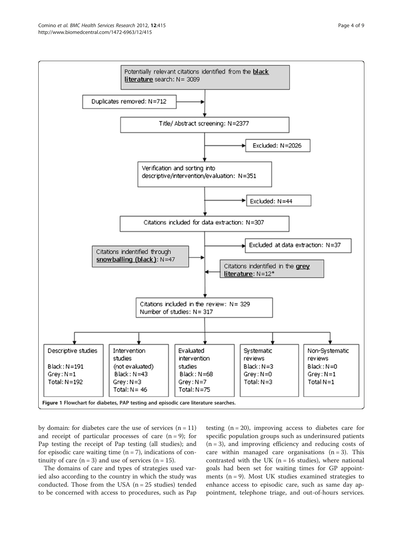<span id="page-3-0"></span>

by domain: for diabetes care the use of services  $(n = 11)$ and receipt of particular processes of care  $(n = 9)$ ; for Pap testing the receipt of Pap testing (all studies); and for episodic care waiting time  $(n = 7)$ , indications of continuity of care  $(n = 3)$  and use of services  $(n = 15)$ .

The domains of care and types of strategies used varied also according to the country in which the study was conducted. Those from the USA  $(n = 25$  studies) tended to be concerned with access to procedures, such as Pap

testing  $(n = 20)$ , improving access to diabetes care for specific population groups such as underinsured patients  $(n = 3)$ , and improving efficiency and reducing costs of care within managed care organisations  $(n = 3)$ . This contrasted with the UK ( $n = 16$  studies), where national goals had been set for waiting times for GP appointments  $(n = 9)$ . Most UK studies examined strategies to enhance access to episodic care, such as same day appointment, telephone triage, and out-of-hours services.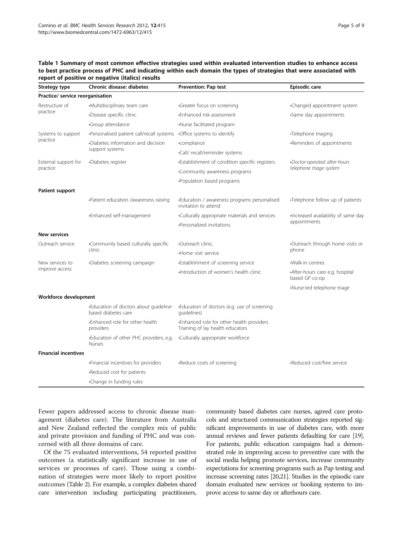## <span id="page-4-0"></span>Table 1 Summary of most common effective strategies used within evaluated intervention studies to enhance access to best practice process of PHC and indicating within each domain the types of strategies that were associated with report of positive or negative (italics) results

| Strategy type                    | <b>Chronic disease: diabetes</b>                              | <b>Prevention: Pap test</b>                                                  | Episodic care                                       |  |
|----------------------------------|---------------------------------------------------------------|------------------------------------------------------------------------------|-----------------------------------------------------|--|
| Practice/ service reorganisation |                                                               |                                                                              |                                                     |  |
| Restructure of<br>practice       | •Multidisciplinary team care                                  | ·Greater focus on screening                                                  | •Changed appointment system                         |  |
|                                  | Disease specific clinic                                       | •Enhanced risk assessment                                                    | •Same day appointments                              |  |
|                                  | Group attendance                                              | ·Nurse facilitated program                                                   |                                                     |  |
| Systems to support<br>practice   | •Personalised patient call/recall systems                     | •Office systems to identify                                                  | Telephone triaging                                  |  |
|                                  | ·Diabetes information and decision<br>support systems         | ·compliance                                                                  | -Reminders of appointments                          |  |
|                                  |                                                               | ·Call/ recall/reminder systems                                               |                                                     |  |
| External support for<br>practice | ·Diabetes register                                            | ·Establishment of condition specific registers                               | Doctor-operated after-hours                         |  |
|                                  |                                                               | •Community awareness programs                                                | telephone triage system                             |  |
|                                  |                                                               | •Population based programs                                                   |                                                     |  |
| Patient support                  |                                                               |                                                                              |                                                     |  |
|                                  | -Patient education /awareness raising                         | -Education / awareness programs personalised<br>invitation to attend         | •Telephone follow up of patients                    |  |
|                                  | ·Enhanced self-management                                     | •Culturally appropriate materials and services                               | ·Increased availability of same day<br>appointments |  |
|                                  |                                                               | ·Personalized invitations                                                    |                                                     |  |
| <b>New services</b>              |                                                               |                                                                              |                                                     |  |
| Outreach service                 | •Community based culturally specific<br>clinic                | Outreach clinic,                                                             | •Outreach through home visits or<br>phone           |  |
|                                  |                                                               | ·Home visit service                                                          |                                                     |  |
| New services to                  | Diabetes screening campaign                                   | ·Establishment of screening service                                          | ·Walk-in centres                                    |  |
| improve access                   |                                                               | Introduction of women's health clinic                                        | •After-hours care e.g. hospital<br>based GP co-op   |  |
|                                  |                                                               |                                                                              | •Nurse-led telephone triage                         |  |
| Workforce development            |                                                               |                                                                              |                                                     |  |
|                                  | -Education of doctors about quideline-<br>based diabetes care | -Education of doctors (e.g. use of screening<br>quidelines)                  |                                                     |  |
|                                  | ·Enhanced role for other health<br>providers                  | Enhanced role for other health providers<br>Training of lay health educators |                                                     |  |
|                                  | .Education of other PHC providers, e.g.<br><b>Nurses</b>      | .Culturally appropriate workforce                                            |                                                     |  |
| <b>Financial incentives</b>      |                                                               |                                                                              |                                                     |  |
|                                  | . Financial incentives for providers                          | Reduce costs of screening                                                    | •Reduced cost/free service                          |  |
|                                  | •Reduced cost for patients                                    |                                                                              |                                                     |  |
|                                  | •Change in funding rules                                      |                                                                              |                                                     |  |

Fewer papers addressed access to chronic disease management (diabetes care). The literature from Australia and New Zealand reflected the complex mix of public and private provision and funding of PHC and was concerned with all three domains of care.

Of the 75 evaluated interventions, 54 reported positive outcomes (a statistically significant increase in use of services or processes of care). Those using a combination of strategies were more likely to report positive outcomes (Table [2\)](#page-5-0). For example, a complex diabetes shared care intervention including participating practitioners, community based diabetes care nurses, agreed care protocols and structured communication strategies reported significant improvements in use of diabetes care, with more annual reviews and fewer patients defaulting for care [\[19](#page-8-0)]. For patients, public education campaigns had a demonstrated role in improving access to preventive care with the social media helping promote services, increase community expectations for screening programs such as Pap testing and increase screening rates [\[20,21](#page-8-0)]. Studies in the episodic care domain evaluated new services or booking systems to improve access to same day or afterhours care.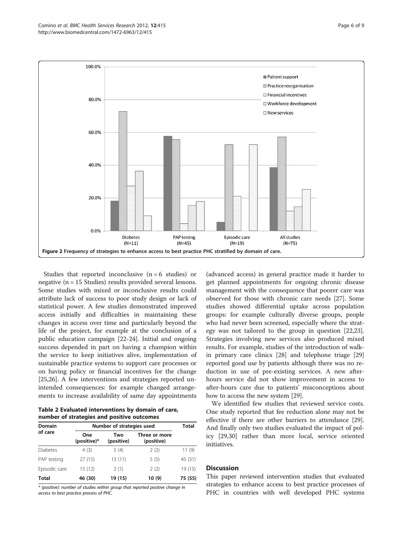<span id="page-5-0"></span>

Studies that reported inconclusive  $(n = 6$  studies) or negative (n = 15 Studies) results provided several lessons. Some studies with mixed or inconclusive results could attribute lack of success to poor study design or lack of statistical power. A few studies demonstrated improved access initially and difficulties in maintaining these changes in access over time and particularly beyond the life of the project, for example at the conclusion of a public education campaign [\[22-24](#page-8-0)]. Initial and ongoing success depended in part on having a champion within the service to keep initiatives alive, implementation of sustainable practice systems to support care processes or on having policy or financial incentives for the change [[25,26\]](#page-8-0). A few interventions and strategies reported unintended consequences: for example changed arrangements to increase availability of same day appointments

Table 2 Evaluated interventions by domain of care, number of strategies and positive outcomes

| <b>Domain</b>   | Number of strategies used |                   |                             | Total   |
|-----------------|---------------------------|-------------------|-----------------------------|---------|
| of care         | One<br>(positive)*        | Two<br>(positive) | Three or more<br>(positive) |         |
| <b>Diabetes</b> | 4(3)                      | 5(4)              | 2(2)                        | 11(9)   |
| PAP testing     | 27(15)                    | 13(11)            | 5(5)                        | 45 (31) |
| Episodic care   | 15(12)                    | 2(1)              | 2(2)                        | 19 (15) |
| <b>Total</b>    | 46 (30)                   | 19 (15)           | 10 (9)                      | 75 (55) |

\* (positive): number of studies within group that reported positive change in access to best practice process of PHC.

(advanced access) in general practice made it harder to get planned appointments for ongoing chronic disease management with the consequence that poorer care was observed for those with chronic care needs [\[27](#page-8-0)]. Some studies showed differential uptake across population groups: for example culturally diverse groups, people who had never been screened, especially where the strategy was not tailored to the group in question [\[22,23](#page-8-0)]. Strategies involving new services also produced mixed results. For example, studies of the introduction of walkin primary care clinics [\[28\]](#page-8-0) and telephone triage [[29](#page-8-0)] reported good use by patients although there was no reduction in use of pre-existing services. A new afterhours service did not show improvement in access to after-hours care due to patients' misconceptions about how to access the new system [[29](#page-8-0)].

We identified few studies that reviewed service costs. One study reported that fee reduction alone may not be effective if there are other barriers to attendance [\[29](#page-8-0)]. And finally only two studies evaluated the impact of policy [[29,30\]](#page-8-0) rather than more local, service oriented initiatives.

## **Discussion**

This paper reviewed intervention studies that evaluated strategies to enhance access to best practice processes of PHC in countries with well developed PHC systems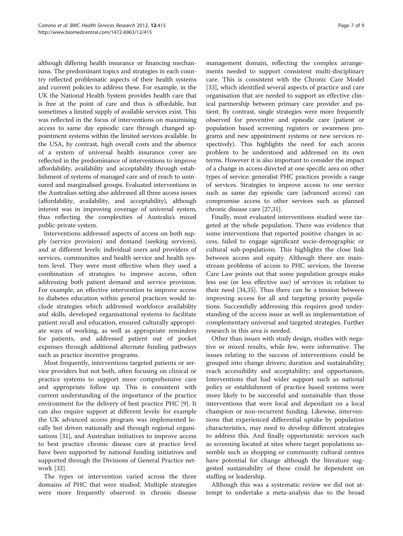although differing health insurance or financing mechanisms. The predominant topics and strategies in each country reflected problematic aspects of their health systems and current policies to address these. For example, in the UK the National Health System provides health care that is free at the point of care and thus is affordable, but sometimes a limited supply of available services exist. This was reflected in the focus of interventions on maximising access to same day episodic care through changed appointment systems within the limited services available. In the USA, by contrast, high overall costs and the absence of a system of universal health insurance cover are reflected in the predominance of interventions to improve affordability, availability and acceptability through establishment of systems of managed care and of reach to uninsured and marginalised groups. Evaluated interventions in the Australian setting also addressed all three access issues (affordability, availability, and acceptability), although interest was in improving coverage of universal system, thus reflecting the complexities of Australia's mixed public-private system.

Interventions addressed aspects of access on both supply (service provision) and demand (seeking services), and at different levels: individual users and providers of services, communities and health service and health system level. They were most effective when they used a combination of strategies to improve access, often addressing both patient demand and service provision. For example, an effective intervention to improve access to diabetes education within general practices would include strategies which addressed workforce availability and skills, developed organisational systems to facilitate patient recall and education, ensured culturally appropriate ways of working, as well as appropriate reminders for patients, and addressed patient out of pocket expenses through additional alternate funding pathways such as practice incentive programs.

Most frequently, interventions targeted patients or service providers but not both, often focusing on clinical or practice systems to support more comprehensive care and appropriate follow up. This is consistent with current understanding of the importance of the practice environment for the delivery of best practice PHC [[9\]](#page-8-0). It can also require support at different levels: for example the UK advanced access program was implemented locally but driven nationally and through regional organisations [[31](#page-8-0)], and Australian initiatives to improve access to best practice chronic disease care at practice level have been supported by national funding initiatives and supported through the Divisions of General Practice network [\[32](#page-8-0)].

The types or intervention varied across the three domains of PHC that were studied. Multiple strategies were more frequently observed in chronic disease management domain, reflecting the complex arrangements needed to support consistent multi-disciplinary care. This is consistent with the Chronic Care Model [[33\]](#page-8-0), which identified several aspects of practice and care organisation that are needed to support an effective clinical partnership between primary care provider and patient. By contrast, single strategies were more frequently observed for preventive and episodic care (patient or population based screening registers or awareness programs and new appointment systems or new services respectively). This highlights the need for each access problem to be understood and addressed on its own terms. However it is also important to consider the impact of a change in access directed at one specific area on other types of service: generalist PHC practices provide a range of services. Strategies to improve access to one service such as same day episodic care (advanced access) can compromise access to other services such as planned chronic disease care [[27,31\]](#page-8-0).

Finally, most evaluated interventions studied were targeted at the whole population. There was evidence that some interventions that reported positive changes in access, failed to engage significant socio-demographic or cultural sub-populations. This highlights the close link between access and equity. Although there are mainstream problems of access to PHC services, the Inverse Care Law points out that some population groups make less use (or less effective use) of services in relation to their need [\[34,35](#page-8-0)]. Thus there can be a tension between improving access for all and targeting priority populations. Successfully addressing this requires good understanding of the access issue as well as implementation of complementary universal and targeted strategies. Further research in this area is needed.

Other than issues with study design, studies with negative or mixed results, while few, were informative. The issues relating to the success of interventions could be grouped into change drivers; duration and sustainability; reach accessibility and acceptability; and opportunism. Interventions that had wider support such as national policy or establishment of practice based systems were more likely to be successful and sustainable than those interventions that were local and dependant on a local champion or non-recurrent funding. Likewise, interventions that experienced differential uptake by population characteristics, may need to develop different strategies to address this. And finally opportunistic services such as screening located at sites where target populations assemble such as shopping or community cultural centres have potential for change although the literature suggested sustainability of these could be dependent on staffing or leadership.

Although this was a systematic review we did not attempt to undertake a meta-analysis due to the broad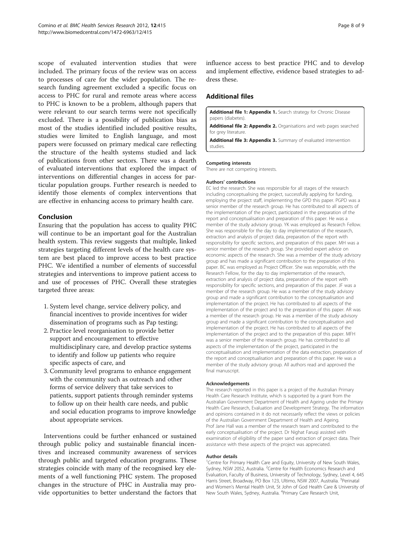<span id="page-7-0"></span>scope of evaluated intervention studies that were included. The primary focus of the review was on access to processes of care for the wider population. The research funding agreement excluded a specific focus on access to PHC for rural and remote areas where access to PHC is known to be a problem, although papers that were relevant to our search terms were not specifically excluded. There is a possibility of publication bias as most of the studies identified included positive results, studies were limited to English language, and most papers were focussed on primary medical care reflecting the structure of the health systems studied and lack of publications from other sectors. There was a dearth of evaluated interventions that explored the impact of interventions on differential changes in access for particular population groups. Further research is needed to identify those elements of complex interventions that are effective in enhancing access to primary health care.

## Conclusion

Ensuring that the population has access to quality PHC will continue to be an important goal for the Australian health system. This review suggests that multiple, linked strategies targeting different levels of the health care system are best placed to improve access to best practice PHC. We identified a number of elements of successful strategies and interventions to improve patient access to and use of processes of PHC. Overall these strategies targeted three areas:

- 1. System level change, service delivery policy, and financial incentives to provide incentives for wider dissemination of programs such as Pap testing;
- 2. Practice level reorganisation to provide better support and encouragement to effective multidisciplinary care, and develop practice systems to identify and follow up patients who require specific aspects of care, and
- 3. Community level programs to enhance engagement with the community such as outreach and other forms of service delivery that take services to patients, support patients through reminder systems to follow up on their health care needs, and public and social education programs to improve knowledge about appropriate services.

Interventions could be further enhanced or sustained through public policy and sustainable financial incentives and increased community awareness of services through public and targeted education programs. These strategies coincide with many of the recognised key elements of a well functioning PHC system. The proposed changes in the structure of PHC in Australia may provide opportunities to better understand the factors that influence access to best practice PHC and to develop and implement effective, evidence based strategies to address these.

## Additional files

[Additional file 1: Appendix 1.](http://www.biomedcentral.com/content/supplementary/1472-6963-12-415-S1.doc) Search strategy for Chronic Disease papers (diabetes).

[Additional file 2: Appendix 2.](http://www.biomedcentral.com/content/supplementary/1472-6963-12-415-S2.doc) Organisations and web pages searched for grey literature.

[Additional file 3: Appendix 3.](http://www.biomedcentral.com/content/supplementary/1472-6963-12-415-S3.doc) Summary of evaluated intervention studies.

#### Competing interests

There are not competing interests.

#### Authors' contributions

EC led the research. She was responsible for all stages of the research including conceptualising the project, successfully applying for funding, employing the project staff, implementing the GPD this paper. PGPD was a senior member of the research group. He has contributed to all aspects of the implementation of the project, participated in the preparation of the report and conceptualisation and preparation of this paper. He was a member of the study advisory group. YK was employed as Research Fellow. She was responsible for the day to day implementation of the research, extraction and analysis of project data, preparation of the report with responsibility for specific sections, and preparation of this paper. MH was a senior member of the research group. She provided expert advice on economic aspects of the research. She was a member of the study advisory group and has made a significant contribution to the preparation of this paper. BC was employed as Project Officer. She was responsible, with the Research Fellow, for the day to day implementation of the research, extraction and analysis of project data, preparation of the report with responsibility for specific sections, and preparation of this paper. JF was a member of the research group. He was a member of the study advisory group and made a significant contribution to the conceptualisation and implementation of the project. He has contributed to all aspects of the implementation of the project and to the preparation of this paper. AR was a member of the research group. He was a member of the study advisory group and made a significant contribution to the conceptualisation and implementation of the project. He has contributed to all aspects of the implementation of the project and to the preparation of this paper. MFH was a senior member of the research group. He has contributed to all aspects of the implementation of the project, participated in the conceptualisation and implementation of the data extraction, preparation of the report and conceptualisation and preparation of this paper. He was a member of the study advisory group. All authors read and approved the final manuscript.

#### Acknowledgements

The research reported in this paper is a project of the Australian Primary Health Care Research Institute, which is supported by a grant from the Australian Government Department of Health and Ageing under the Primary Health Care Research, Evaluation and Development Strategy. The information and opinions contained in it do not necessarily reflect the views or policies of the Australian Government Department of Health and Ageing. Prof Jane Hall was a member of the research team and contributed to the early conceptualisation of the project. Dr Nighat Faruqi assisted with examination of eligibility of the paper sand extraction of project data. Their assistance with these aspects of the project was appreciated.

#### Author details

<sup>1</sup> Centre for Primary Health Care and Equity, University of New South Wales, Sydney, NSW 2052, Australia. <sup>2</sup>Centre for Health Economics Research and Evaluation, Faculty of Business, University of Technology, Sydney, Level 4, 645 Harris Street, Broadway, PO Box 123, Ultimo, NSW 2007, Australia. <sup>3</sup>Perinatal and Women's Mental Health Unit, St John of God Health Care & University of New South Wales, Sydney, Australia. <sup>4</sup>Primary Care Research Unit